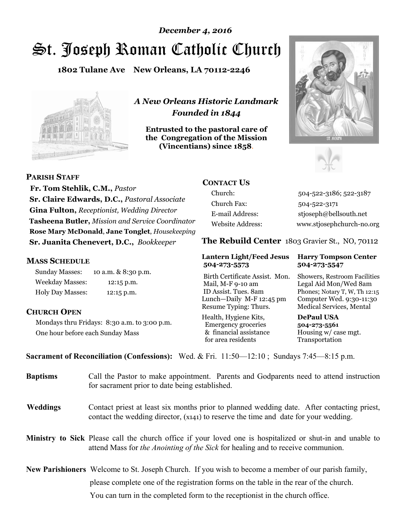# St. Joseph Roman Catholic Church *December 4, 2016*

**1802 Tulane Ave New Orleans, LA 70112-2246**



*A New Orleans Historic Landmark Founded in 1844* 

**Entrusted to the pastoral care of the Congregation of the Mission (Vincentians) since 1858**.





 **Fr. Tom Stehlik, C.M.,** *Pastor* **Sr. Claire Edwards, D.C.,** *Pastoral Associate* 

**Gina Fulton,** *Receptionist, Wedding Director* **Tasheena Butler,** *Mission and Service Coordinator* **Rose Mary McDonald**, **Jane Tonglet**, *Housekeeping* **Sr. Juanita Chenevert, D.C.,** *Bookkeeper* 

### **MASS SCHEDULE**

**PARISH STAFF**

Sunday Masses: 10 a.m. & 8:30 p.m. Weekday Masses: 12:15 p.m. Holy Day Masses: 12:15 p.m.

# **CHURCH OPEN**

Mondays thru Fridays: 8:30 a.m. to 3:00 p.m. One hour before each Sunday Mass

# **CONTACT US**

Church: 504-522-3186; 522-3187 Church Fax: 504-522-3171 E-mail Address: stjoseph@bellsouth.net Website Address: www.stjosephchurch-no.org

**The Rebuild Center** 1803 Gravier St., NO, 70112

### **Lantern Light/Feed Jesus Harry Tompson Center 504-273-5573 504-273-5547**

Birth Certificate Assist. Mon. Showers, Restroom Facilities Mail, M-F 9-10 am Legal Aid Mon/Wed 8am ID Assist. Tues. 8am Phones; Notary T, W, Th 12:15 Lunch—Daily M-F 12:45 pm Computer Wed. 9:30-11:30 Resume Typing: Thurs. Medical Services, Mental

Health, Hygiene Kits, **DePaul USA**  Emergency groceries **504-273-5561** & financial assistance Housing w/ case mgt.<br>for area residents Transportation for area residents

**Sacrament of Reconciliation (Confessions):** Wed. & Fri. 11:50—12:10 ; Sundays 7:45—8:15 p.m.

| <b>Baptisms</b> | Call the Pastor to make appointment. Parents and Godparents need to attend instruction<br>for sacrament prior to date being established.                                                                   |  |
|-----------------|------------------------------------------------------------------------------------------------------------------------------------------------------------------------------------------------------------|--|
| <b>Weddings</b> | Contact priest at least six months prior to planned wedding date. After contacting priest,<br>contact the wedding director, (x141) to reserve the time and date for your wedding.                          |  |
|                 | <b>Ministry to Sick</b> Please call the church office if your loved one is hospitalized or shut-in and unable to<br>attend Mass for <i>the Anointing of the Sick</i> for healing and to receive communion. |  |
|                 | New Parishioners Welcome to St. Joseph Church. If you wish to become a member of our parish family,                                                                                                        |  |
|                 | please complete one of the registration forms on the table in the rear of the church.                                                                                                                      |  |
|                 | You can turn in the completed form to the reception ist in the church office.                                                                                                                              |  |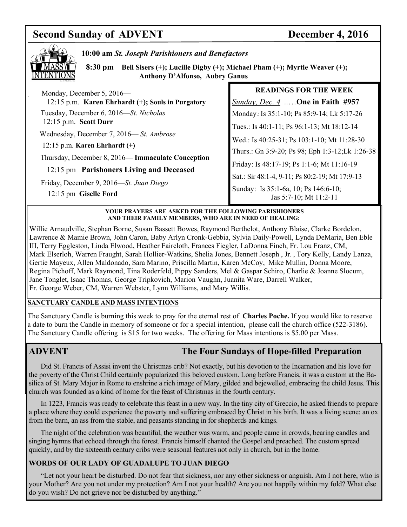# **Second Sunday of ADVENT** December 4, 2016



### **10:00 am** *St. Joseph Parishioners and Benefactors*

 **8:30 pm Bell Sisers (+); Lucille Digby (+); Michael Pham (+); Myrtle Weaver (+); Anthony D'Alfonso, Aubry Ganus** 

| Monday, December 5, 2016—                                        | <b>READINGS FOR THE WEEK</b>                                   |
|------------------------------------------------------------------|----------------------------------------------------------------|
| 12:15 p.m. Karen Ehrhardt (+); Souls in Purgatory                | Sunday, Dec. 4 <b>One in Faith #957</b>                        |
| Tuesday, December 6, 2016—St. Nicholas                           | Monday.: Is 35:1-10; Ps 85:9-14; Lk 5:17-26                    |
| $12:15$ p.m. Scott Durr                                          | Tues.: Is 40:1-11; Ps 96:1-13; Mt 18:12-14                     |
| Wednesday, December 7, 2016—St. Ambrose                          | Wed.: Is 40:25-31; Ps 103:1-10; Mt 11:28-30                    |
| $12:15$ p.m. Karen Ehrhardt $(+)$                                | Thurs.: Gn 3:9-20; Ps 98; Eph 1:3-12; Lk 1:26-38               |
| Thursday, December 8, 2016— Immaculate Conception                | Friday: Is 48:17-19; Ps 1:1-6; Mt 11:16-19                     |
| 12:15 pm Parishoners Living and Deceased                         | Sat.: Sir 48:1-4, 9-11; Ps 80:2-19; Mt 17:9-13                 |
| Friday, December 9, 2016—St. Juan Diego<br>12:15 pm Giselle Ford | Sunday: Is 35:1-6a, 10; Ps 146:6-10;<br>Jas 5:7-10; Mt 11:2-11 |

### **YOUR PRAYERS ARE ASKED FOR THE FOLLOWING PARISHIONERS AND THEIR FAMILY MEMBERS, WHO ARE IN NEED OF HEALING:**

Willie Arnaudville, Stephan Borne, Susan Bassett Bowes, Raymond Berthelot, Anthony Blaise, Clarke Bordelon, Lawrence & Mamie Brown, John Caron, Baby Arlyn Cronk-Gebbia, Sylvia Daily-Powell, Lynda DeMaria, Ben Eble III, Terry Eggleston, Linda Elwood, Heather Faircloth, Frances Fiegler, LaDonna Finch, Fr. Lou Franz, CM, Mark Elserloh, Warren Fraught, Sarah Hollier-Watkins, Shelia Jones, Bennett Joseph , Jr. , Tory Kelly, Landy Lanza, Gertie Mayeux, Allen Maldonado, Sara Marino, Priscilla Martin, Karen McCoy, Mike Mullin, Donna Moore, Regina Pichoff, Mark Raymond, Tina Roderfeld, Pippy Sanders, Mel & Gaspar Schiro, Charlie & Joanne Slocum, Jane Tonglet, Isaac Thomas, George Tripkovich, Marion Vaughn, Juanita Ware, Darrell Walker, Fr. George Weber, CM, Warren Webster, Lynn Williams, and Mary Willis.

# **SANCTUARY CANDLE AND MASS INTENTIONS**

The Sanctuary Candle is burning this week to pray for the eternal rest of **Charles Poche.** If you would like to reserve a date to burn the Candle in memory of someone or for a special intention, please call the church office (522-3186). The Sanctuary Candle offering is \$15 for two weeks. The offering for Mass intentions is \$5.00 per Mass.

# **ADVENT The Four Sundays of Hope-filled Preparation**

 Did St. Francis of Assisi invent the Christmas crib? Not exactly, but his devotion to the Incarnation and his love for the poverty of the Christ Child certainly popularized this beloved custom. Long before Francis, it was a custom at the Basilica of St. Mary Major in Rome to enshrine a rich image of Mary, gilded and bejewelled, embracing the child Jesus. This church was founded as a kind of home for the feast of Christmas in the fourth century.

 In 1223, Francis was ready to celebrate this feast in a new way. In the tiny city of Greccio, he asked friends to prepare a place where they could experience the poverty and suffering embraced by Christ in his birth. It was a living scene: an ox from the barn, an ass from the stable, and peasants standing in for shepherds and kings.

 The night of the celebration was beautiful, the weather was warm, and people came in crowds, bearing candles and singing hymns that echoed through the forest. Francis himself chanted the Gospel and preached. The custom spread quickly, and by the sixteenth century cribs were seasonal features not only in church, but in the home.

# **WORDS OF OUR LADY OF GUADALUPE TO JUAN DIEGO**

 "Let not your heart be disturbed. Do not fear that sickness, nor any other sickness or anguish. Am I not here, who is your Mother? Are you not under my protection? Am I not your health? Are you not happily within my fold? What else do you wish? Do not grieve nor be disturbed by anything."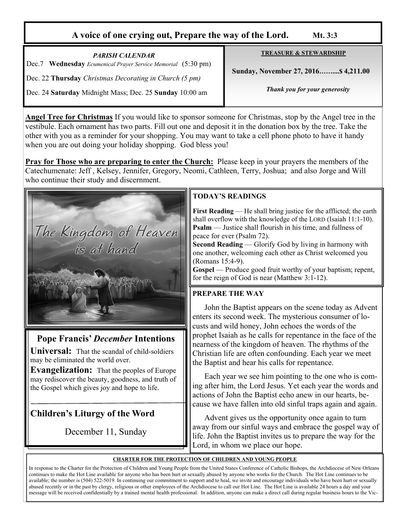# **A voice of one crying out, Prepare the way of the Lord. Mt. 3:3**

*PARISH CALENDAR*  Dec.7 **Wednesday** *Ecumenical Prayer Service Memorial* (5:30 pm) Dec. 22 **Thursday** *Christmas Decorating in Church (5 pm)*  Dec. 24 **Saturday** Midnight Mass; Dec. 25 **Sunday** 10:00 am

**TREASURE & STEWARDSHIP**

 **Sunday, November 27, 2016……....\$ 4,211.00** 

*Thank you for your generosity* 

**Angel Tree for Christmas** If you would like to sponsor someone for Christmas, stop by the Angel tree in the vestibule. Each ornament has two parts. Fill out one and deposit it in the donation box by the tree. Take the other with you as a reminder for your shopping. You may want to take a cell phone photo to have it handy when you are out doing your holiday shopping. God bless you!

**Pray for Those who are preparing to enter the Church:** Please keep in your prayers the members of the Catechumenate: Jeff , Kelsey, Jennifer, Gregory, Neomi, Cathleen, Terry, Joshua; and also Jorge and Will who continue their study and discernment.



# **Pope Francis'** *December* **Intentions**

**Universal:** That the scandal of child-soldiers may be eliminated the world over.

**Evangelization:** That the peoples of Europe may rediscover the beauty, goodness, and truth of the Gospel which gives joy and hope to life.

# **Children's Liturgy of the Word**

December 11, Sunday

# **TODAY'S READINGS**

**First Reading** — He shall bring justice for the afflicted; the earth shall overflow with the knowledge of the LORD (Isaiah 11:1-10). **Psalm** — Justice shall flourish in his time, and fullness of peace for ever (Psalm 72).

**Second Reading** — Glorify God by living in harmony with one another, welcoming each other as Christ welcomed you (Romans 15:4-9).

**Gospel** — Produce good fruit worthy of your baptism; repent, for the reign of God is near (Matthew 3:1-12).

# **PREPARE THE WAY**

John the Baptist appears on the scene today as Advent enters its second week. The mysterious consumer of locusts and wild honey, John echoes the words of the prophet Isaiah as he calls for repentance in the face of the nearness of the kingdom of heaven. The rhythms of the Christian life are often confounding. Each year we meet the Baptist and hear his calls for repentance.

 Each year we see him pointing to the one who is coming after him, the Lord Jesus. Yet each year the words and actions of John the Baptist echo anew in our hearts, because we have fallen into old sinful traps again and again.

 Advent gives us the opportunity once again to turn away from our sinful ways and embrace the gospel way of life. John the Baptist invites us to prepare the way for the Lord, in whom we place our hope.

### **CHARTER FOR THE PROTECTION OF CHILDREN AND YOUNG PEOPLE**

In response to the Charter for the Protection of Children and Young People from the United States Conference of Catholic Bishops, the Archdiocese of New Orleans continues to make the Hot Line available for anyone who has been hurt or sexually abused by anyone who works for the Church. The Hot Line continues to be available; the number is (504) 522-5019. In continuing our commitment to support and to heal, we invite and encourage individuals who have been hurt or sexually abused recently or in the past by clergy, religious or other employees of the Archdiocese to call our Hot Line. The Hot Line is available 24 hours a day and your message will be received confidentially by a trained mental health professional. In addition, anyone can make a direct call during regular business hours to the Vic-